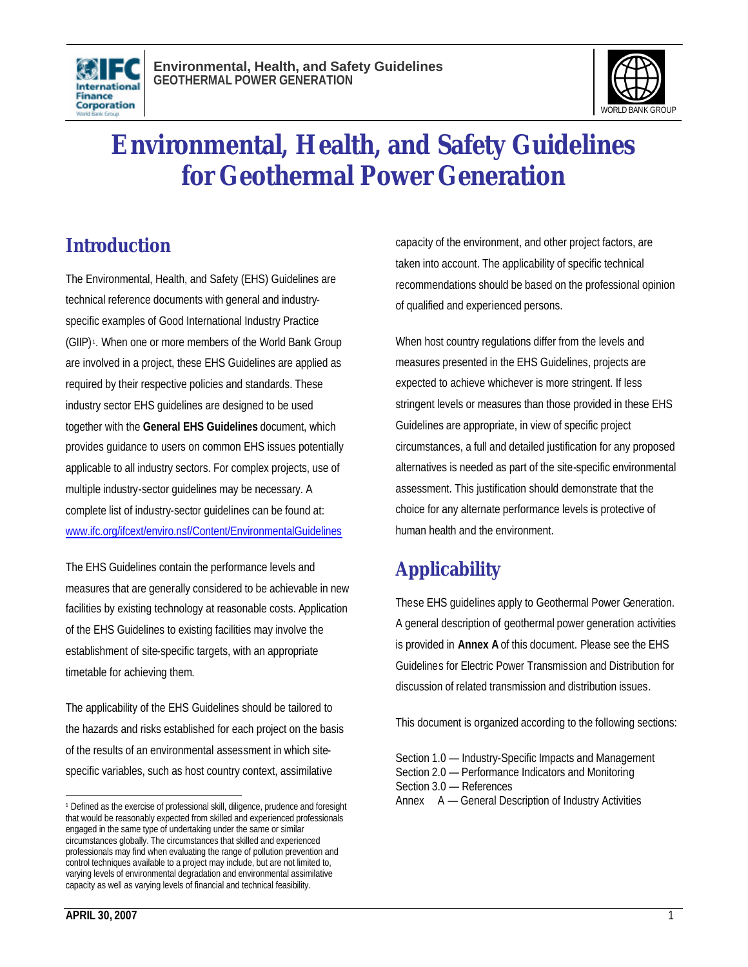



# **Environmental, Health, and Safety Guidelines for Geothermal Power Generation**

# **Introduction**

The Environmental, Health, and Safety (EHS) Guidelines are technical reference documents with general and industryspecific examples of Good International Industry Practice (GIIP) <sup>1</sup> . When one or more members of the World Bank Group are involved in a project, these EHS Guidelines are applied as required by their respective policies and standards. These industry sector EHS guidelines are designed to be used together with the **General EHS Guidelines** document, which provides guidance to users on common EHS issues potentially applicable to all industry sectors. For complex projects, use of multiple industry-sector guidelines may be necessary. A complete list of industry-sector guidelines can be found at: www.ifc.org/ifcext/enviro.nsf/Content/EnvironmentalGuidelines

The EHS Guidelines contain the performance levels and measures that are generally considered to be achievable in new facilities by existing technology at reasonable costs. Application of the EHS Guidelines to existing facilities may involve the establishment of site-specific targets, with an appropriate timetable for achieving them.

The applicability of the EHS Guidelines should be tailored to the hazards and risks established for each project on the basis of the results of an environmental assessment in which sitespecific variables, such as host country context, assimilative

capacity of the environment, and other project factors, are taken into account. The applicability of specific technical recommendations should be based on the professional opinion of qualified and experienced persons.

When host country regulations differ from the levels and measures presented in the EHS Guidelines, projects are expected to achieve whichever is more stringent. If less stringent levels or measures than those provided in these EHS Guidelines are appropriate, in view of specific project circumstances, a full and detailed justification for any proposed alternatives is needed as part of the site-specific environmental assessment. This justification should demonstrate that the choice for any alternate performance levels is protective of human health and the environment.

# **Applicability**

These EHS guidelines apply to Geothermal Power Generation. A general description of geothermal power generation activities is provided in **Annex A** of this document. Please see the EHS Guidelines for Electric Power Transmission and Distribution for discussion of related transmission and distribution issues.

This document is organized according to the following sections:

Section 1.0 — Industry-Specific Impacts and Management Section 2.0 — Performance Indicators and Monitoring Section 3.0 — References

Annex A — General Description of Industry Activities

 $\overline{a}$ <sup>1</sup> Defined as the exercise of professional skill, diligence, prudence and foresight that would be reasonably expected from skilled and experienced professionals engaged in the same type of undertaking under the same or similar circumstances globally. The circumstances that skilled and experienced professionals may find when evaluating the range of pollution prevention and control techniques available to a project may include, but are not limited to, varying levels of environmental degradation and environmental assimilative capacity as well as varying levels of financial and technical feasibility.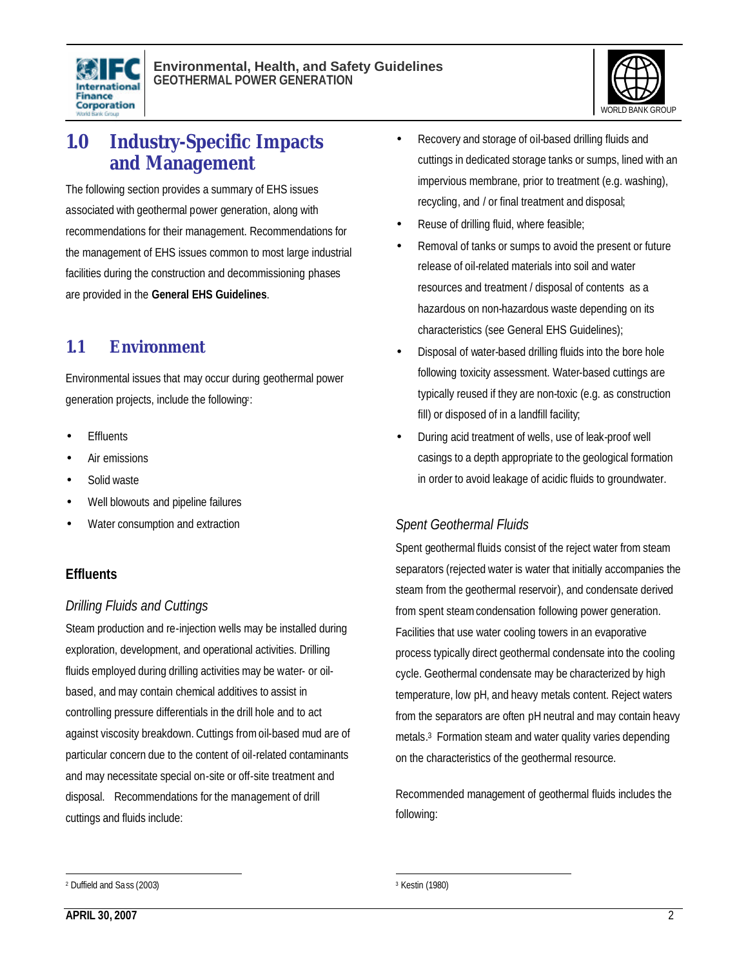



# **1.0 Industry-Specific Impacts and Management**

The following section provides a summary of EHS issues associated with geothermal power generation, along with recommendations for their management. Recommendations for the management of EHS issues common to most large industrial facilities during the construction and decommissioning phases are provided in the **General EHS Guidelines**.

## **1.1 Environment**

Environmental issues that may occur during geothermal power generation projects, include the following?:

- **Fffluents**
- Air emissions
- Solid waste
- Well blowouts and pipeline failures
- Water consumption and extraction

## **Effluents**

#### *Drilling Fluids and Cuttings*

Steam production and re-injection wells may be installed during exploration, development, and operational activities. Drilling fluids employed during drilling activities may be water- or oilbased, and may contain chemical additives to assist in controlling pressure differentials in the drill hole and to act against viscosity breakdown. Cuttings fromoil-based mud are of particular concern due to the content of oil-related contaminants and may necessitate special on-site or off-site treatment and disposal. Recommendations for the management of drill cuttings and fluids include:

- Recovery and storage of oil-based drilling fluids and cuttings in dedicated storage tanks or sumps, lined with an impervious membrane, prior to treatment (e.g. washing), recycling, and / or final treatment and disposal;
- Reuse of drilling fluid, where feasible;
- Removal of tanks or sumps to avoid the present or future release of oil-related materials into soil and water resources and treatment / disposal of contents as a hazardous on non-hazardous waste depending on its characteristics (see General EHS Guidelines);
- Disposal of water-based drilling fluids into the bore hole following toxicity assessment. Water-based cuttings are typically reused if they are non-toxic (e.g. as construction fill) or disposed of in a landfill facility;
- During acid treatment of wells, use of leak-proof well casings to a depth appropriate to the geological formation in order to avoid leakage of acidic fluids to groundwater.

#### *Spent Geothermal Fluids*

Spent geothermal fluids consist of the reject water from steam separators (rejected water is water that initially accompanies the steam from the geothermal reservoir), and condensate derived from spent steam condensation following power generation. Facilities that use water cooling towers in an evaporative process typically direct geothermal condensate into the cooling cycle. Geothermal condensate may be characterized by high temperature, low pH, and heavy metals content. Reject waters from the separators are often pH neutral and may contain heavy metals. 3 Formation steam and water quality varies depending on the characteristics of the geothermal resource.

Recommended management of geothermal fluids includes the following:

 $\overline{a}$ <sup>2</sup> Duffield and Sass (2003)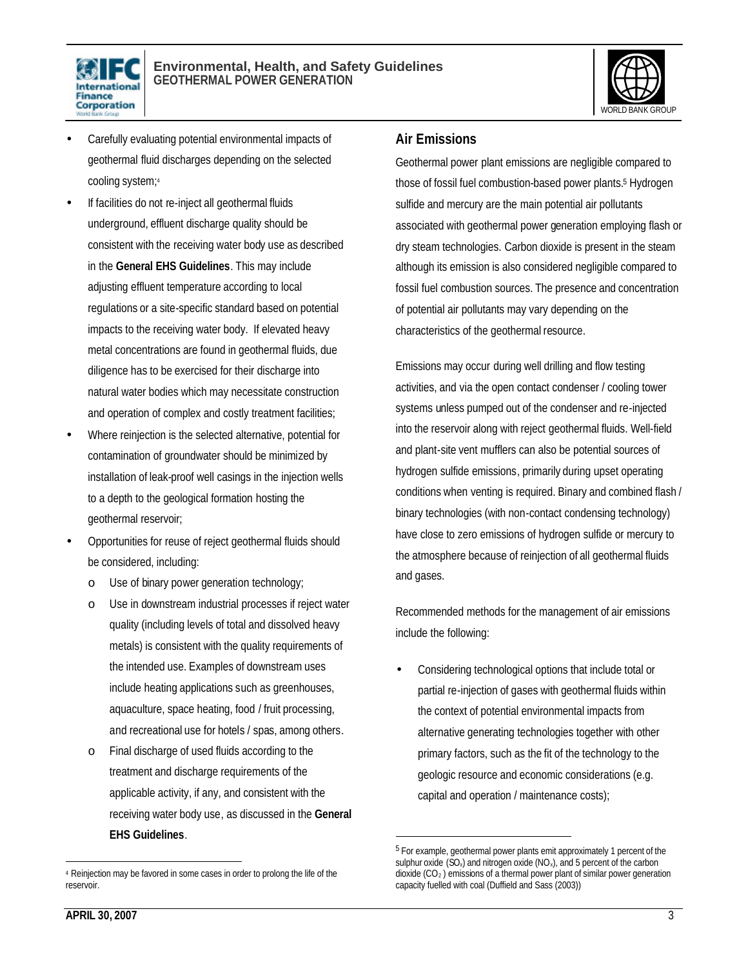



- Carefully evaluating potential environmental impacts of geothermal fluid discharges depending on the selected cooling system;<sup>4</sup>
- If facilities do not re-inject all geothermal fluids underground, effluent discharge quality should be consistent with the receiving water body use as described in the **General EHS Guidelines**. This may include adjusting effluent temperature according to local regulations or a site-specific standard based on potential impacts to the receiving water body. If elevated heavy metal concentrations are found in geothermal fluids, due diligence has to be exercised for their discharge into natural water bodies which may necessitate construction and operation of complex and costly treatment facilities;
- Where reinjection is the selected alternative, potential for contamination of groundwater should be minimized by installation of leak-proof well casings in the injection wells to a depth to the geological formation hosting the geothermal reservoir;
- Opportunities for reuse of reject geothermal fluids should be considered, including:
	- o Use of binary power generation technology;
	- o Use in downstream industrial processes if reject water quality (including levels of total and dissolved heavy metals) is consistent with the quality requirements of the intended use. Examples of downstream uses include heating applications such as greenhouses, aquaculture, space heating, food / fruit processing, and recreational use for hotels / spas, among others.
	- o Final discharge of used fluids according to the treatment and discharge requirements of the applicable activity, if any, and consistent with the receiving water body use, as discussed in the **General EHS Guidelines**.

#### **Air Emissions**

Geothermal power plant emissions are negligible compared to those of fossil fuel combustion-based power plants.<sup>5</sup> Hydrogen sulfide and mercury are the main potential air pollutants associated with geothermal power generation employing flash or dry steam technologies. Carbon dioxide is present in the steam although its emission is also considered negligible compared to fossil fuel combustion sources. The presence and concentration of potential air pollutants may vary depending on the characteristics of the geothermal resource.

Emissions may occur during well drilling and flow testing activities, and via the open contact condenser / cooling tower systems unless pumped out of the condenser and re-injected into the reservoir along with reject geothermal fluids. Well-field and plant-site vent mufflers can also be potential sources of hydrogen sulfide emissions, primarily during upset operating conditions when venting is required. Binary and combined flash / binary technologies (with non-contact condensing technology) have close to zero emissions of hydrogen sulfide or mercury to the atmosphere because of reinjection of all geothermal fluids and gases.

Recommended methods for the management of air emissions include the following:

• Considering technological options that include total or partial re-injection of gases with geothermal fluids within the context of potential environmental impacts from alternative generating technologies together with other primary factors, such as the fit of the technology to the geologic resource and economic considerations (e.g. capital and operation / maintenance costs);

 $\overline{a}$ 

 $\overline{a}$ 

<sup>4</sup> Reinjection may be favored in some cases in order to prolong the life of the reservoir.

<sup>&</sup>lt;sup>5</sup> For example, geothermal power plants emit approximately 1 percent of the sulphur oxide  $(SO_x)$  and nitrogen oxide  $(NO_x)$ , and 5 percent of the carbon dioxide  $(CO<sub>2</sub>)$  emissions of a thermal power plant of similar power generation capacity fuelled with coal (Duffield and Sass (2003))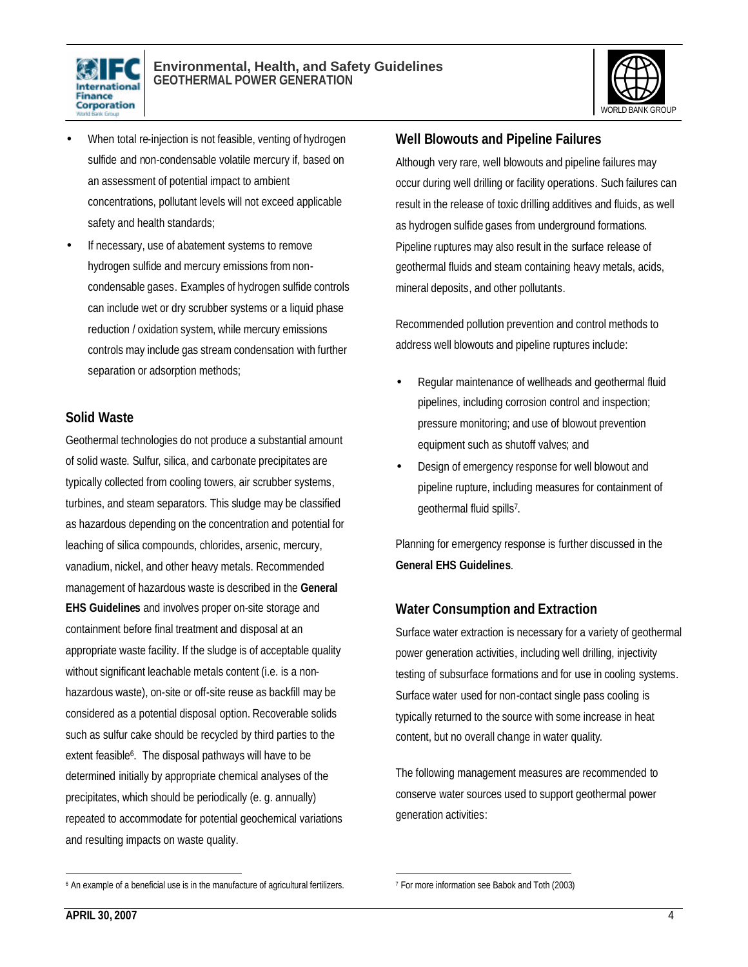



- When total re-injection is not feasible, venting of hydrogen sulfide and non-condensable volatile mercury if, based on an assessment of potential impact to ambient concentrations, pollutant levels will not exceed applicable safety and health standards;
- If necessary, use of abatement systems to remove hydrogen sulfide and mercury emissions from noncondensable gases. Examples of hydrogen sulfide controls can include wet or dry scrubber systems or a liquid phase reduction / oxidation system, while mercury emissions controls may include gas stream condensation with further separation or adsorption methods;

#### **Solid Waste**

Geothermal technologies do not produce a substantial amount of solid waste. Sulfur, silica, and carbonate precipitates are typically collected from cooling towers, air scrubber systems, turbines, and steam separators. This sludge may be classified as hazardous depending on the concentration and potential for leaching of silica compounds, chlorides, arsenic, mercury, vanadium, nickel, and other heavy metals. Recommended management of hazardous waste is described in the **General EHS Guidelines** and involves proper on-site storage and containment before final treatment and disposal at an appropriate waste facility. If the sludge is of acceptable quality without significant leachable metals content (i.e. is a nonhazardous waste), on-site or off-site reuse as backfill may be considered as a potential disposal option. Recoverable solids such as sulfur cake should be recycled by third parties to the extent feasible<sup>6</sup>. The disposal pathways will have to be determined initially by appropriate chemical analyses of the precipitates, which should be periodically (e. g. annually) repeated to accommodate for potential geochemical variations and resulting impacts on waste quality.

#### **Well Blowouts and Pipeline Failures**

Although very rare, well blowouts and pipeline failures may occur during well drilling or facility operations. Such failures can result in the release of toxic drilling additives and fluids, as well as hydrogen sulfide gases from underground formations. Pipeline ruptures may also result in the surface release of geothermal fluids and steam containing heavy metals, acids, mineral deposits, and other pollutants.

Recommended pollution prevention and control methods to address well blowouts and pipeline ruptures include:

- Regular maintenance of wellheads and geothermal fluid pipelines, including corrosion control and inspection; pressure monitoring; and use of blowout prevention equipment such as shutoff valves; and
- Design of emergency response for well blowout and pipeline rupture, including measures for containment of geothermal fluid spills<sup>7</sup>.

Planning for emergency response is further discussed in the **General EHS Guidelines**.

## **Water Consumption and Extraction**

Surface water extraction is necessary for a variety of geothermal power generation activities, including well drilling, injectivity testing of subsurface formations and for use in cooling systems. Surface water used for non-contact single pass cooling is typically returned to the source with some increase in heat content, but no overall change in water quality.

The following management measures are recommended to conserve water sources used to support geothermal power generation activities:

 $\overline{a}$ 6 An example of a beneficial use is in the manufacture of agricultural fertilizers.

 $\overline{a}$ 7 For more information see Babok and Toth (2003)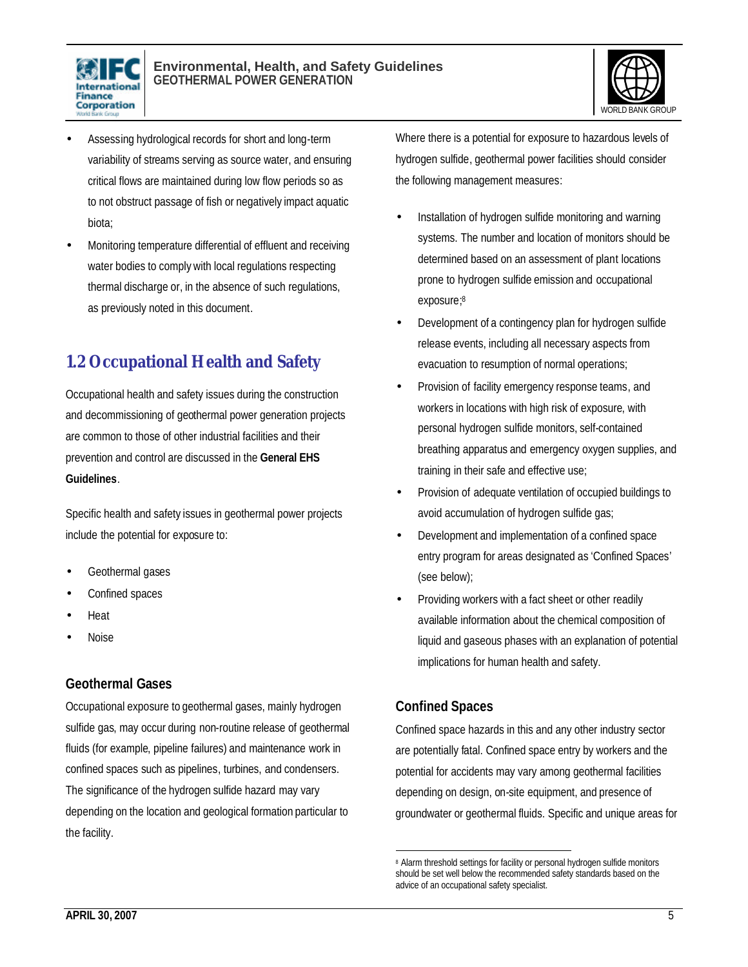



- Assessing hydrological records for short and long-term variability of streams serving as source water, and ensuring critical flows are maintained during low flow periods so as to not obstruct passage of fish or negatively impact aquatic biota;
- Monitoring temperature differential of effluent and receiving water bodies to comply with local regulations respecting thermal discharge or, in the absence of such regulations, as previously noted in this document.

# **1.2 Occupational Health and Safety**

Occupational health and safety issues during the construction and decommissioning of geothermal power generation projects are common to those of other industrial facilities and their prevention and control are discussed in the **General EHS Guidelines**.

Specific health and safety issues in geothermal power projects include the potential for exposure to:

- Geothermal gases
- Confined spaces
- Heat
- Noise

#### **Geothermal Gases**

Occupational exposure to geothermal gases, mainly hydrogen sulfide gas, may occur during non-routine release of geothermal fluids (for example, pipeline failures) and maintenance work in confined spaces such as pipelines, turbines, and condensers. The significance of the hydrogen sulfide hazard may vary depending on the location and geological formation particular to the facility.

Where there is a potential for exposure to hazardous levels of hydrogen sulfide, geothermal power facilities should consider the following management measures:

- Installation of hydrogen sulfide monitoring and warning systems. The number and location of monitors should be determined based on an assessment of plant locations prone to hydrogen sulfide emission and occupational exposure; 8
- Development of a contingency plan for hydrogen sulfide release events, including all necessary aspects from evacuation to resumption of normal operations;
- Provision of facility emergency response teams, and workers in locations with high risk of exposure, with personal hydrogen sulfide monitors, self-contained breathing apparatus and emergency oxygen supplies, and training in their safe and effective use;
- Provision of adequate ventilation of occupied buildings to avoid accumulation of hydrogen sulfide gas;
- Development and implementation of a confined space entry program for areas designated as 'Confined Spaces' (see below);
- Providing workers with a fact sheet or other readily available information about the chemical composition of liquid and gaseous phases with an explanation of potential implications for human health and safety.

## **Confined Spaces**

1

Confined space hazards in this and any other industry sector are potentially fatal. Confined space entry by workers and the potential for accidents may vary among geothermal facilities depending on design, on-site equipment, and presence of groundwater or geothermal fluids. Specific and unique areas for

<sup>&</sup>lt;sup>8</sup> Alarm threshold settings for facility or personal hydrogen sulfide monitors should be set well below the recommended safety standards based on the advice of an occupational safety specialist.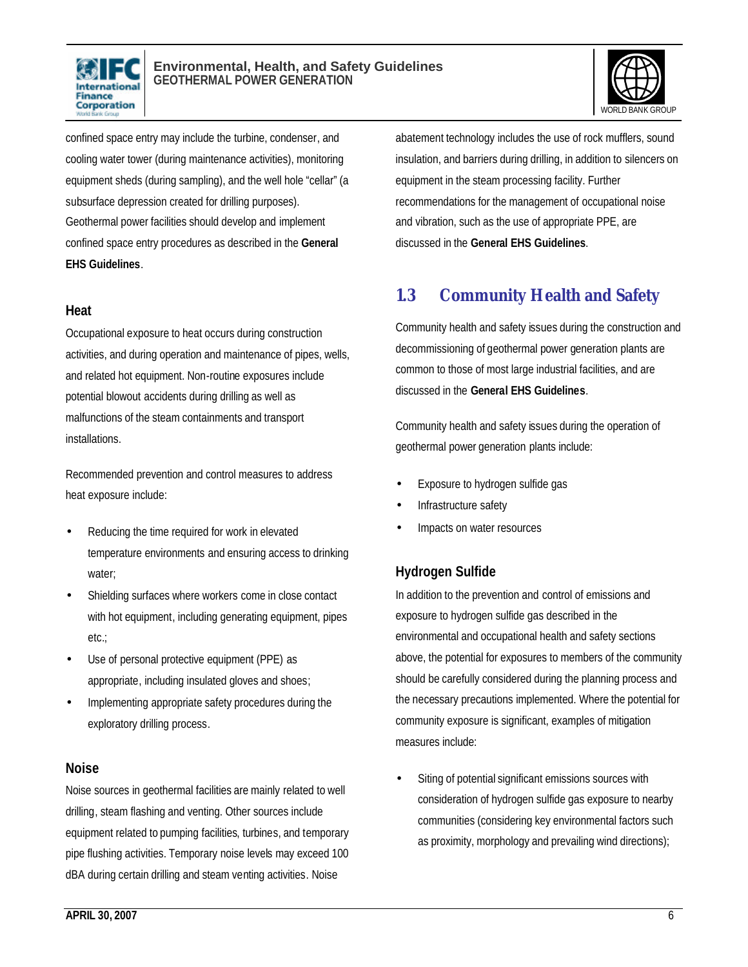



confined space entry may include the turbine, condenser, and cooling water tower (during maintenance activities), monitoring equipment sheds (during sampling), and the well hole "cellar" (a subsurface depression created for drilling purposes). Geothermal power facilities should develop and implement confined space entry procedures as described in the **General EHS Guidelines**.

#### **Heat**

Occupational exposure to heat occurs during construction activities, and during operation and maintenance of pipes, wells, and related hot equipment. Non-routine exposures include potential blowout accidents during drilling as well as malfunctions of the steam containments and transport installations.

Recommended prevention and control measures to address heat exposure include:

- Reducing the time required for work in elevated temperature environments and ensuring access to drinking water;
- Shielding surfaces where workers come in close contact with hot equipment, including generating equipment, pipes etc.;
- Use of personal protective equipment (PPE) as appropriate, including insulated gloves and shoes;
- Implementing appropriate safety procedures during the exploratory drilling process.

#### **Noise**

Noise sources in geothermal facilities are mainly related to well drilling, steam flashing and venting. Other sources include equipment related to pumping facilities, turbines, and temporary pipe flushing activities. Temporary noise levels may exceed 100 dBA during certain drilling and steam venting activities. Noise

abatement technology includes the use of rock mufflers, sound insulation, and barriers during drilling, in addition to silencers on equipment in the steam processing facility. Further recommendations for the management of occupational noise and vibration, such as the use of appropriate PPE, are discussed in the **General EHS Guidelines**.

## **1.3 Community Health and Safety**

Community health and safety issues during the construction and decommissioning of geothermal power generation plants are common to those of most large industrial facilities, and are discussed in the **General EHS Guidelines**.

Community health and safety issues during the operation of geothermal power generation plants include:

- Exposure to hydrogen sulfide gas
- Infrastructure safety
- Impacts on water resources

## **Hydrogen Sulfide**

In addition to the prevention and control of emissions and exposure to hydrogen sulfide gas described in the environmental and occupational health and safety sections above, the potential for exposures to members of the community should be carefully considered during the planning process and the necessary precautions implemented. Where the potential for community exposure is significant, examples of mitigation measures include:

Siting of potential significant emissions sources with consideration of hydrogen sulfide gas exposure to nearby communities (considering key environmental factors such as proximity, morphology and prevailing wind directions);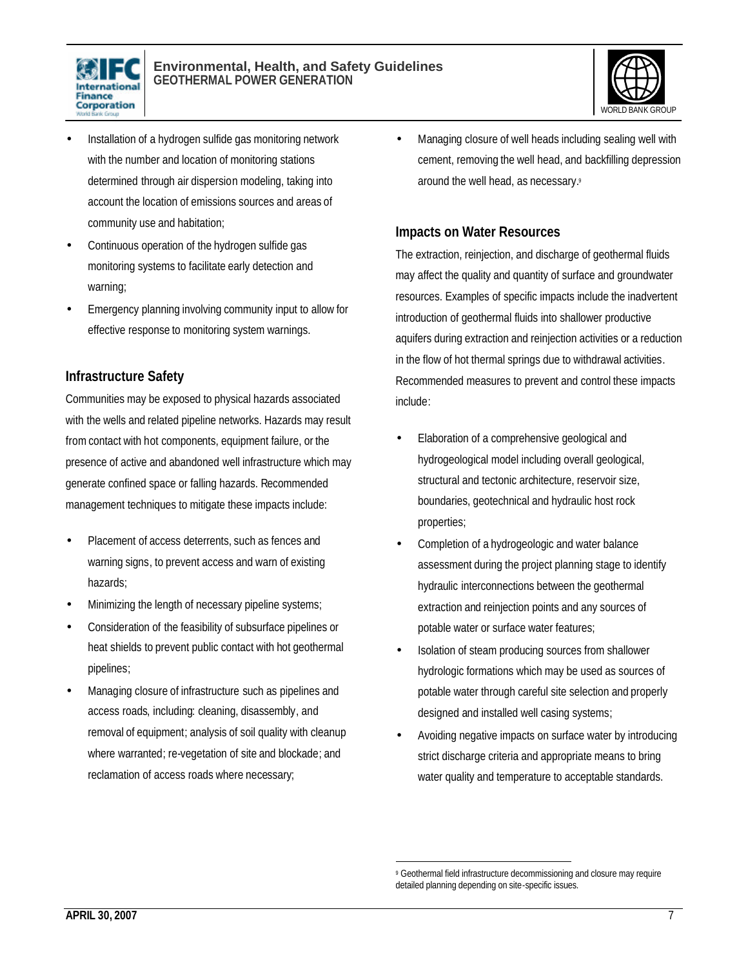



- Installation of a hydrogen sulfide gas monitoring network with the number and location of monitoring stations determined through air dispersion modeling, taking into account the location of emissions sources and areas of community use and habitation;
- Continuous operation of the hydrogen sulfide gas monitoring systems to facilitate early detection and warning;
- Emergency planning involving community input to allow for effective response to monitoring system warnings.

### **Infrastructure Safety**

Communities may be exposed to physical hazards associated with the wells and related pipeline networks. Hazards may result from contact with hot components, equipment failure, or the presence of active and abandoned well infrastructure which may generate confined space or falling hazards. Recommended management techniques to mitigate these impacts include:

- Placement of access deterrents, such as fences and warning signs, to prevent access and warn of existing hazards;
- Minimizing the length of necessary pipeline systems;
- Consideration of the feasibility of subsurface pipelines or heat shields to prevent public contact with hot geothermal pipelines;
- Managing closure of infrastructure such as pipelines and access roads, including: cleaning, disassembly, and removal of equipment; analysis of soil quality with cleanup where warranted; re-vegetation of site and blockade; and reclamation of access roads where necessary;

• Managing closure of well heads including sealing well with cement, removing the well head, and backfilling depression around the well head, as necessary.<sup>9</sup>

#### **Impacts on Water Resources**

The extraction, reinjection, and discharge of geothermal fluids may affect the quality and quantity of surface and groundwater resources. Examples of specific impacts include the inadvertent introduction of geothermal fluids into shallower productive aquifers during extraction and reinjection activities or a reduction in the flow of hot thermal springs due to withdrawal activities. Recommended measures to prevent and control these impacts include:

- Elaboration of a comprehensive geological and hydrogeological model including overall geological, structural and tectonic architecture, reservoir size, boundaries, geotechnical and hydraulic host rock properties;
- Completion of a hydrogeologic and water balance assessment during the project planning stage to identify hydraulic interconnections between the geothermal extraction and reinjection points and any sources of potable water or surface water features;
- Isolation of steam producing sources from shallower hydrologic formations which may be used as sources of potable water through careful site selection and properly designed and installed well casing systems;
- Avoiding negative impacts on surface water by introducing strict discharge criteria and appropriate means to bring water quality and temperature to acceptable standards.

<sup>1</sup> 9 Geothermal field infrastructure decommissioning and closure may require detailed planning depending on site-specific issues.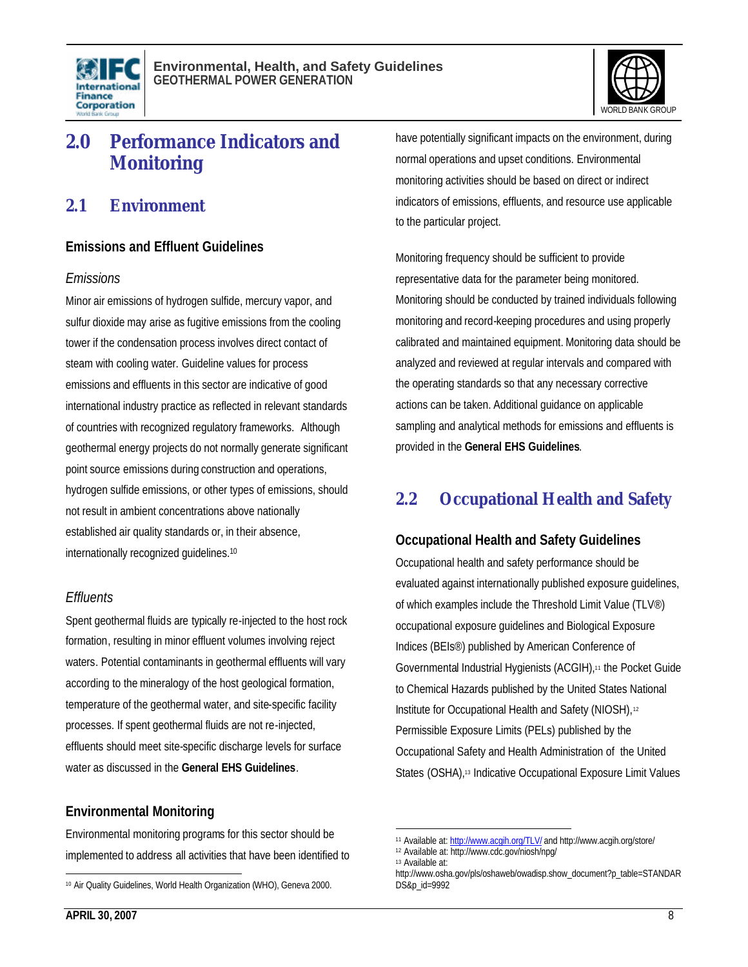



# **2.0 Performance Indicators and Monitoring**

## **2.1 Environment**

#### **Emissions and Effluent Guidelines**

#### *Emissions*

Minor air emissions of hydrogen sulfide, mercury vapor, and sulfur dioxide may arise as fugitive emissions from the cooling tower if the condensation process involves direct contact of steam with cooling water. Guideline values for process emissions and effluents in this sector are indicative of good international industry practice as reflected in relevant standards of countries with recognized regulatory frameworks. Although geothermal energy projects do not normally generate significant point source emissions during construction and operations, hydrogen sulfide emissions, or other types of emissions, should not result in ambient concentrations above nationally established air quality standards or, in their absence, internationally recognized guidelines.<sup>10</sup>

#### *Effluents*

Spent geothermal fluids are typically re-injected to the host rock formation, resulting in minor effluent volumes involving reject waters. Potential contaminants in geothermal effluents will vary according to the mineralogy of the host geological formation, temperature of the geothermal water, and site-specific facility processes. If spent geothermal fluids are not re-injected, effluents should meet site-specific discharge levels for surface water as discussed in the **General EHS Guidelines**.

#### **Environmental Monitoring**

Environmental monitoring programs for this sector should be implemented to address all activities that have been identified to have potentially significant impacts on the environment, during normal operations and upset conditions. Environmental monitoring activities should be based on direct or indirect indicators of emissions, effluents, and resource use applicable to the particular project.

Monitoring frequency should be sufficient to provide representative data for the parameter being monitored. Monitoring should be conducted by trained individuals following monitoring and record-keeping procedures and using properly calibrated and maintained equipment. Monitoring data should be analyzed and reviewed at regular intervals and compared with the operating standards so that any necessary corrective actions can be taken. Additional guidance on applicable sampling and analytical methods for emissions and effluents is provided in the **General EHS Guidelines**.

# **2.2 Occupational Health and Safety**

#### **Occupational Health and Safety Guidelines**

Occupational health and safety performance should be evaluated against internationally published exposure guidelines, of which examples include the Threshold Limit Value (TLV®) occupational exposure guidelines and Biological Exposure Indices (BEIs®) published by American Conference of Governmental Industrial Hygienists (ACGIH),11 the Pocket Guide to Chemical Hazards published by the United States National Institute for Occupational Health and Safety (NIOSH),<sup>12</sup> Permissible Exposure Limits (PELs) published by the Occupational Safety and Health Administration of the United States (OSHA),<sup>13</sup> Indicative Occupational Exposure Limit Values

 $\overline{a}$ 10 Air Quality Guidelines, World Health Organization (WHO), Geneva 2000.

 $\overline{a}$ 11 Available at: http://www.acgih.org/TLV/ and http://www.acgih.org/store/

<sup>12</sup> Available at: http://www.cdc.gov/niosh/npg/

<sup>13</sup> Available at:

http://www.osha.gov/pls/oshaweb/owadisp.show\_document?p\_table=STANDAR DS&p\_id=9992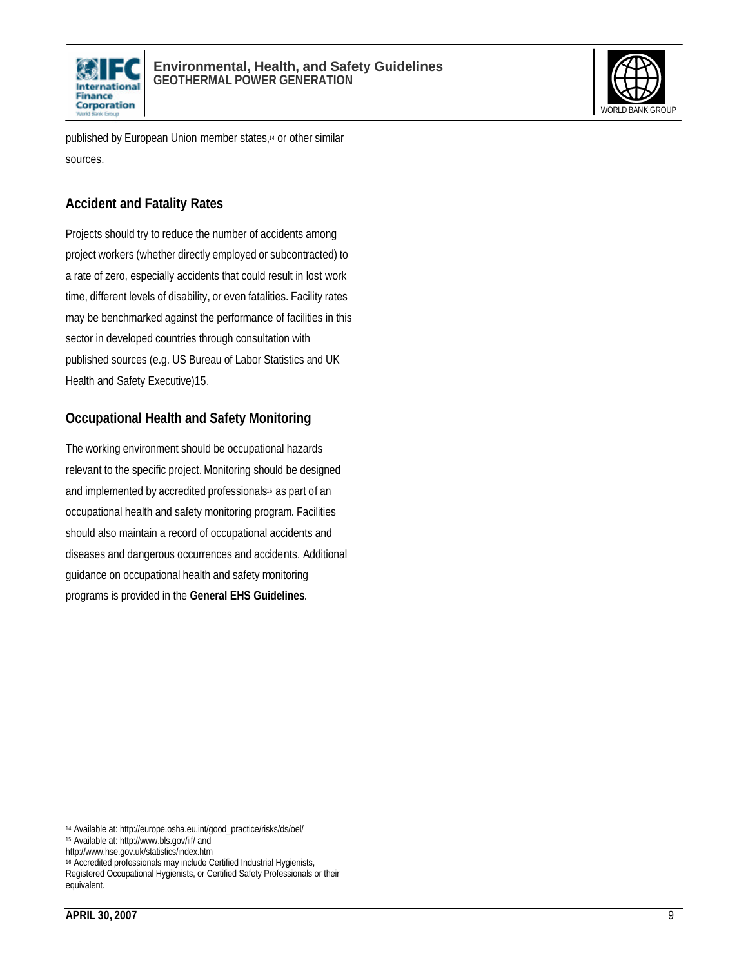



published by European Union member states,<sup>14</sup> or other similar sources.

## **Accident and Fatality Rates**

Projects should try to reduce the number of accidents among project workers (whether directly employed or subcontracted) to a rate of zero, especially accidents that could result in lost work time, different levels of disability, or even fatalities. Facility rates may be benchmarked against the performance of facilities in this sector in developed countries through consultation with published sources (e.g. US Bureau of Labor Statistics and UK Health and Safety Executive)15.

## **Occupational Health and Safety Monitoring**

The working environment should be occupational hazards relevant to the specific project. Monitoring should be designed and implemented by accredited professionals<sup>16</sup> as part of an occupational health and safety monitoring program. Facilities should also maintain a record of occupational accidents and diseases and dangerous occurrences and accidents. Additional guidance on occupational health and safety monitoring programs is provided in the **General EHS Guidelines**.

 $\overline{a}$ <sup>14</sup> Available at: http://europe.osha.eu.int/good\_practice/risks/ds/oel/

<sup>15</sup> Available at: http://www.bls.gov/iif/ and

http://www.hse.gov.uk/statistics/index.htm

<sup>16</sup> Accredited professionals may include Certified Industrial Hygienists,

Registered Occupational Hygienists, or Certified Safety Professionals or their equivalent.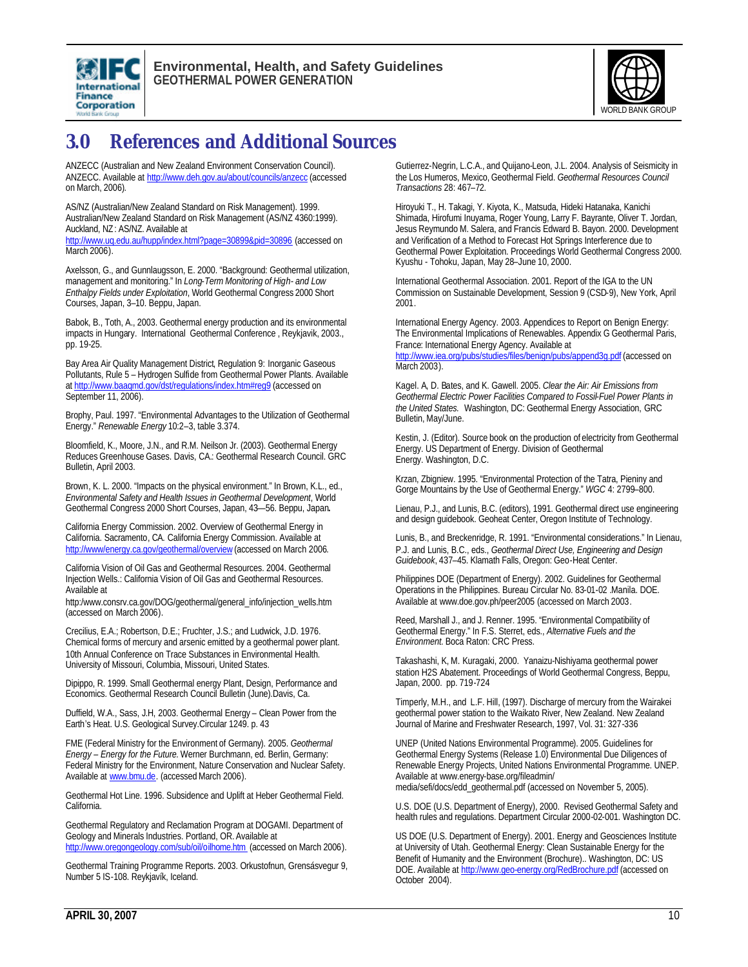



# **3.0 References and Additional Sources**

ANZECC (Australian and New Zealand Environment Conservation Council). ANZECC. Available at http://www.deh.gov.au/about/councils/anzecc (accessed on March, 2006).

AS/NZ (Australian/New Zealand Standard on Risk Management). 1999. Australian/New Zealand Standard on Risk Management (AS/NZ 4360:1999). Auckland, NZ: AS/NZ. Available at

http://www.uq.edu.au/hupp/index.html?page=30899&pid=30896 (accessed on March 2006).

Axelsson, G., and Gunnlaugsson, E. 2000. "Background: Geothermal utilization, management and monitoring." In *Long-Term Monitoring of High- and Low Enthalpy Fields under Exploitation*, World Geothermal Congress 2000 Short Courses, Japan, 3–10. Beppu, Japan.

Babok, B., Toth, A., 2003. Geothermal energy production and its environmental impacts in Hungary. International Geothermal Conference , Reykjavik, 2003., pp. 19-25.

Bay Area Air Quality Management District, Regulation 9: Inorganic Gaseous Pollutants, Rule 5 – Hydrogen Sulfide from Geothermal Power Plants. Available at http://www.baaqmd.gov/dst/regulations/index.htm#reg9 (accessed on September 11, 2006).

Brophy, Paul. 1997. "Environmental Advantages to the Utilization of Geothermal Energy." *Renewable Energy* 10:2–3, table 3.374.

Bloomfield, K., Moore, J.N., and R.M. Neilson Jr. (2003). Geothermal Energy Reduces Greenhouse Gases. Davis, CA.: Geothermal Research Council. GRC Bulletin, April 2003.

Brown, K. L. 2000. "Impacts on the physical environment." In Brown, K.L., ed., *Environmental Safety and Health Issues in Geothermal Development*, World Geothermal Congress 2000 Short Courses, Japan, 43—56. Beppu, Japan**.**

California Energy Commission. 2002. Overview of Geothermal Energy in California. Sacramento, CA. California Energy Commission. Available at http://www/energy.ca.gov/geothermal/overview</u> (accessed on March 2006.

California Vision of Oil Gas and Geothermal Resources. 2004. Geothermal Injection Wells.: California Vision of Oil Gas and Geothermal Resources. Available at

http:/www.consrv.ca.gov/DOG/geothermal/general\_info/injection\_wells.htm (accessed on March 2006).

Crecilius, E.A.; Robertson, D.E.; Fruchter, J.S.; and Ludwick, J.D. 1976. Chemical forms of mercury and arsenic emitted by a geothermal power plant. 10th Annual Conference on Trace Substances in Environmental Health. University of Missouri, Columbia, Missouri, United States.

Dipippo, R. 1999. Small Geothermal energy Plant, Design, Performance and Economics. Geothermal Research Council Bulletin (June).Davis, Ca.

Duffield, W.A., Sass, J.H, 2003. Geothermal Energy – Clean Power from the Earth's Heat. U.S. Geological Survey.Circular 1249. p. 43

FME (Federal Ministry for the Environment of Germany). 2005. *Geothermal Energy – Energy for the Future.* Werner Burchmann, ed. Berlin, Germany: Federal Ministry for the Environment, Nature Conservation and Nuclear Safety. Available at www.bmu.de. (accessed March 2006).

Geothermal Hot Line. 1996. Subsidence and Uplift at Heber Geothermal Field. California.

Geothermal Regulatory and Reclamation Program at DOGAMI. Department of Geology and Minerals Industries. Portland, OR. Available at http://www.oregongeology.com/sub/oil/oilhome.htm (accessed on March 2006).

Geothermal Training Programme Reports. 2003. Orkustofnun, Grensásvegur 9, Number 5 IS-108. Reykjavík, Iceland.

Gutierrez-Negrin, L.C.A., and Quijano-Leon, J.L. 2004. Analysis of Seismicity in the Los Humeros, Mexico, Geothermal Field. *Geothermal Resources Council Transactions* 28: 467–72.

Hiroyuki T., H. Takagi, Y. Kiyota, K., Matsuda, Hideki Hatanaka, Kanichi Shimada, Hirofumi Inuyama, Roger Young, Larry F. Bayrante, Oliver T. Jordan, Jesus Reymundo M. Salera, and Francis Edward B. Bayon. 2000. Development and Verification of a Method to Forecast Hot Springs Interference due to Geothermal Power Exploitation. Proceedings World Geothermal Congress 2000. Kyushu - Tohoku, Japan, May 28–June 10, 2000.

International Geothermal Association. 2001. Report of the IGA to the UN Commission on Sustainable Development, Session 9 (CSD-9), New York, April 2001.

International Energy Agency. 2003. Appendices to Report on Benign Energy: The Environmental Implications of Renewables. Appendix G Geothermal Paris, France: International Energy Agency. Available at

http://www.iea.org/pubs/studies/files/benign/pubs/append3g.pdf (accessed on March 2003).

Kagel. A, D. Bates, and K. Gawell. 2005. *Clear the Air: Air Emissions from Geothermal Electric Power Facilities Compared to Fossil-Fuel Power Plants in the United States.* Washington, DC: Geothermal Energy Association, GRC Bulletin, May/June.

Kestin, J. (Editor). Source book on the production of electricity from Geothermal Energy. US Department of Energy. Division of Geothermal Energy. Washington, D.C.

Krzan, Zbigniew. 1995. "Environmental Protection of the Tatra, Pieniny and Gorge Mountains by the Use of Geothermal Energy." *WGC* 4: 2799–800.

Lienau, P.J., and Lunis, B.C. (editors), 1991. Geothermal direct use engineering and design guidebook. Geoheat Center, Oregon Institute of Technology.

Lunis, B., and Breckenridge, R. 1991. "Environmental considerations." In Lienau, P.J. and Lunis, B.C., eds., *Geothermal Direct Use, Engineering and Design Guidebook*, 437–45. Klamath Falls, Oregon: Geo-Heat Center.

Philippines DOE (Department of Energy). 2002. Guidelines for Geothermal Operations in the Philippines. Bureau Circular No. 83-01-02 .Manila. DOE. Available at www.doe.gov.ph/peer2005 (accessed on March 2003.

Reed, Marshall J., and J. Renner. 1995. "Environmental Compatibility of Geothermal Energy." In F.S. Sterret, eds., *Alternative Fuels and the Environment.* Boca Raton: CRC Press.

Takashashi, K, M. Kuragaki, 2000. Yanaizu-Nishiyama geothermal power station H2S Abatement. Proceedings of World Geothermal Congress, Beppu, Japan, 2000. pp. 719-724

Timperly, M.H., and L.F. Hill, (1997). Discharge of mercury from the Wairakei geothermal power station to the Waikato River, New Zealand. New Zealand Journal of Marine and Freshwater Research, 1997, Vol. 31: 327-336

UNEP (United Nations Environmental Programme). 2005. Guidelines for Geothermal Energy Systems (Release 1.0) Environmental Due Diligences of Renewable Energy Projects, United Nations Environmental Programme. UNEP. Available at www.energy-base.org/fileadmin/ media/sefi/docs/edd\_geothermal.pdf (accessed on November 5, 2005).

U.S. DOE (U.S. Department of Energy), 2000. Revised Geothermal Safety and health rules and regulations. Department Circular 2000-02-001. Washington DC.

US DOE (U.S. Department of Energy). 2001. Energy and Geosciences Institute at University of Utah. Geothermal Energy: Clean Sustainable Energy for the Benefit of Humanity and the Environment (Brochure).. Washington, DC: US DOE. Available at http://www.geo-energy.org/RedBrochure.pdf (accessed on October 2004).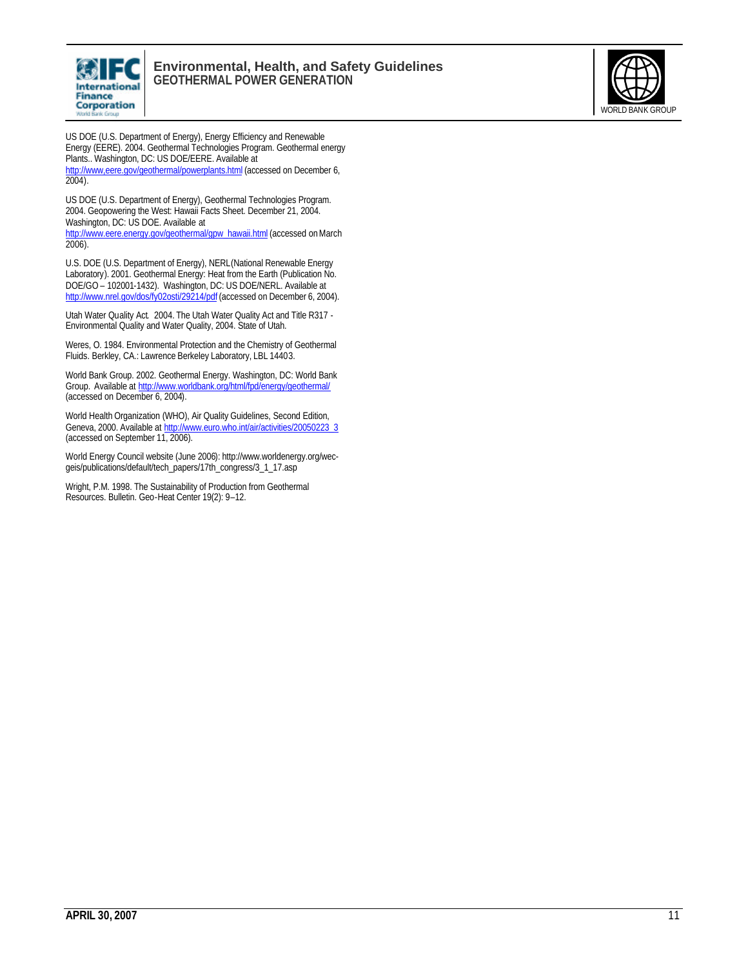

#### **Environmental, Health, and Safety Guidelines GEOTHERMAL POWER GENERATION**



US DOE (U.S. Department of Energy), Energy Efficiency and Renewable Energy (EERE). 2004. Geothermal Technologies Program. Geothermal energy Plants.. Washington, DC: US DOE/EERE. Available at http://www.eere.gov/geothermal/powerplants.html (accessed on December 6, 2004).

US DOE (U.S. Department of Energy), Geothermal Technologies Program. 2004. Geopowering the West: Hawaii Facts Sheet. December 21, 2004. Washington, DC: US DOE. Available at

http://www.eere.energy.gov/geothermal/gpw\_hawaii.html (accessed on March 2006).

U.S. DOE (U.S. Department of Energy), NERL(National Renewable Energy Laboratory). 2001. Geothermal Energy: Heat from the Earth (Publication No. DOE/GO – 102001-1432). Washington, DC: US DOE/NERL. Available at http://www.nrel.gov/dos/fy02osti/29214/pdf (accessed on December 6, 2004).

Utah Water Quality Act. 2004. The Utah Water Quality Act and Title R317 - Environmental Quality and Water Quality, 2004. State of Utah.

Weres, O. 1984. Environmental Protection and the Chemistry of Geothermal Fluids. Berkley, CA.: Lawrence Berkeley Laboratory, LBL 14403.

World Bank Group. 2002. Geothermal Energy. Washington, DC: World Bank Group. Available at http://www.worldbank.org/html/fpd/energy/geothermal/ (accessed on December 6, 2004).

World Health Organization (WHO), Air Quality Guidelines, Second Edition, Geneva, 2000. Available at http://www.euro.who.int/air/activities/20050223\_3 (accessed on September 11, 2006).

World Energy Council website (June 2006): http://www.worldenergy.org/wecgeis/publications/default/tech\_papers/17th\_congress/3\_1\_17.asp

Wright, P.M. 1998. The Sustainability of Production from Geothermal Resources. Bulletin. Geo-Heat Center 19(2): 9–12.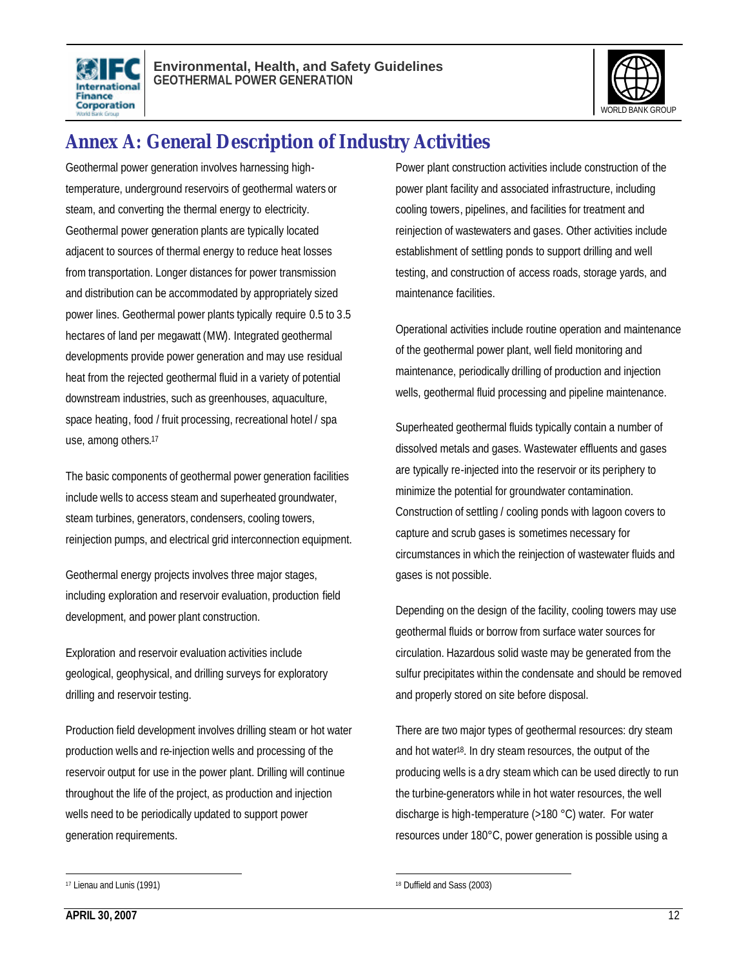



# **Annex A: General Description of Industry Activities**

Geothermal power generation involves harnessing hightemperature, underground reservoirs of geothermal waters or steam, and converting the thermal energy to electricity. Geothermal power generation plants are typically located adjacent to sources of thermal energy to reduce heat losses from transportation. Longer distances for power transmission and distribution can be accommodated by appropriately sized power lines. Geothermal power plants typically require 0.5 to 3.5 hectares of land per megawatt (MW). Integrated geothermal developments provide power generation and may use residual heat from the rejected geothermal fluid in a variety of potential downstream industries, such as greenhouses, aquaculture, space heating, food / fruit processing, recreational hotel / spa use, among others.<sup>17</sup>

The basic components of geothermal power generation facilities include wells to access steam and superheated groundwater, steam turbines, generators, condensers, cooling towers, reinjection pumps, and electrical grid interconnection equipment.

Geothermal energy projects involves three major stages, including exploration and reservoir evaluation, production field development, and power plant construction.

Exploration and reservoir evaluation activities include geological, geophysical, and drilling surveys for exploratory drilling and reservoir testing.

Production field development involves drilling steam or hot water production wells and re-injection wells and processing of the reservoir output for use in the power plant. Drilling will continue throughout the life of the project, as production and injection wells need to be periodically updated to support power generation requirements.

Power plant construction activities include construction of the power plant facility and associated infrastructure, including cooling towers, pipelines, and facilities for treatment and reinjection of wastewaters and gases. Other activities include establishment of settling ponds to support drilling and well testing, and construction of access roads, storage yards, and maintenance facilities.

Operational activities include routine operation and maintenance of the geothermal power plant, well field monitoring and maintenance, periodically drilling of production and injection wells, geothermal fluid processing and pipeline maintenance.

Superheated geothermal fluids typically contain a number of dissolved metals and gases. Wastewater effluents and gases are typically re-injected into the reservoir or its periphery to minimize the potential for groundwater contamination. Construction of settling / cooling ponds with lagoon covers to capture and scrub gases is sometimes necessary for circumstances in which the reinjection of wastewater fluids and gases is not possible.

Depending on the design of the facility, cooling towers may use geothermal fluids or borrow from surface water sources for circulation. Hazardous solid waste may be generated from the sulfur precipitates within the condensate and should be removed and properly stored on site before disposal.

There are two major types of geothermal resources: dry steam and hot water18. In dry steam resources, the output of the producing wells is a dry steam which can be used directly to run the turbine-generators while in hot water resources, the well discharge is high-temperature (>180 °C) water. For water resources under 180°C, power generation is possible using a

 $\overline{a}$ 

 $\overline{a}$ 18 Duffield and Sass (2003)